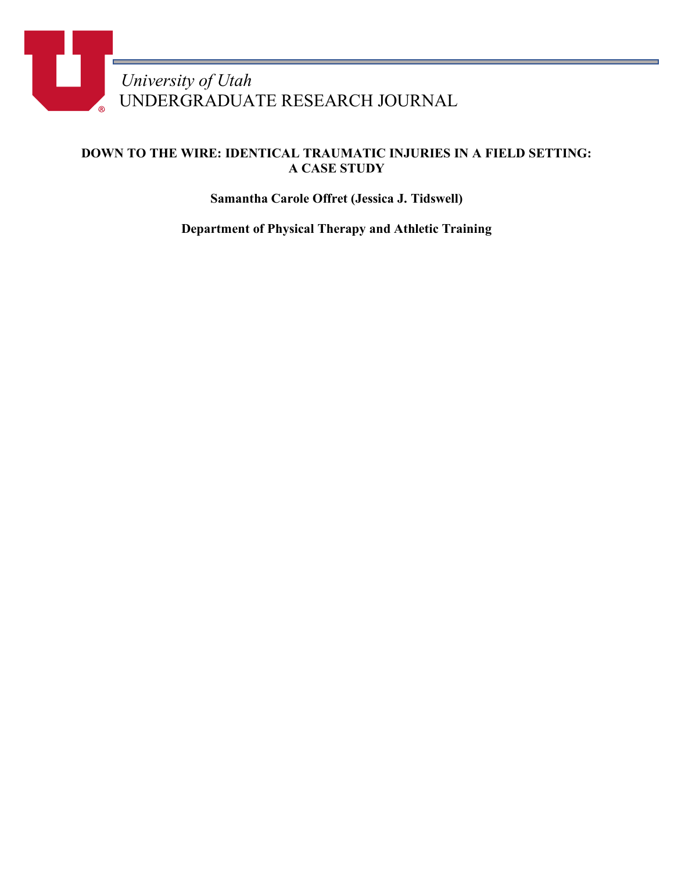

## **DOWN TO THE WIRE: IDENTICAL TRAUMATIC INJURIES IN A FIELD SETTING: A CASE STUDY**

**Samantha Carole Offret (Jessica J. Tidswell)**

**Department of Physical Therapy and Athletic Training**